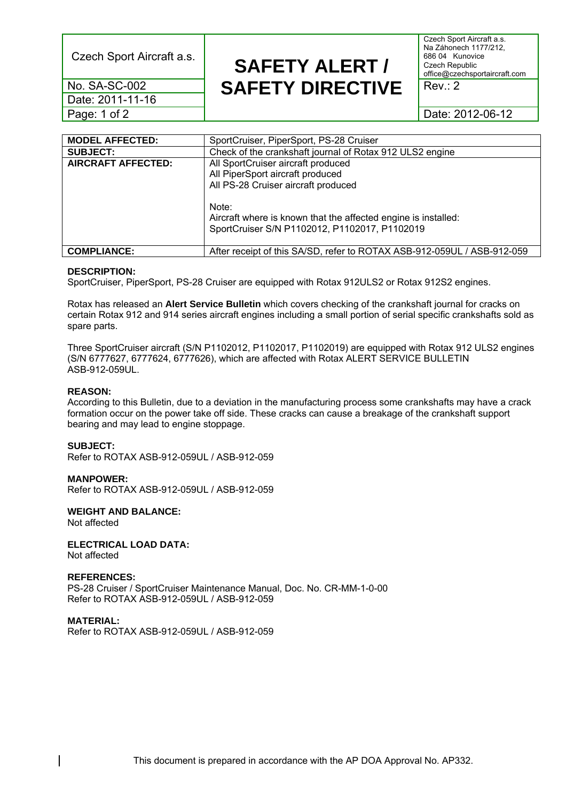Czech Sport Aircraft a.s.

Czech Sport Aircraft a.s. Na Záhonech 1177/212, 686 04 Kunovice Czech Republic office@czechsportaircraft.com

Rev.: 2

Date: 2012-06-12

No. SA-SC-002 Date: 2011-11-16 Page: 1 of 2

| <b>MODEL AFFECTED:</b>    | SportCruiser, PiperSport, PS-28 Cruiser                                 |  |
|---------------------------|-------------------------------------------------------------------------|--|
| <b>SUBJECT:</b>           | Check of the crankshaft journal of Rotax 912 ULS2 engine                |  |
| <b>AIRCRAFT AFFECTED:</b> | All SportCruiser aircraft produced                                      |  |
|                           | All PiperSport aircraft produced                                        |  |
|                           | All PS-28 Cruiser aircraft produced                                     |  |
|                           |                                                                         |  |
|                           | Note:                                                                   |  |
|                           | Aircraft where is known that the affected engine is installed:          |  |
|                           | SportCruiser S/N P1102012, P1102017, P1102019                           |  |
|                           |                                                                         |  |
| <b>COMPLIANCE:</b>        | After receipt of this SA/SD, refer to ROTAX ASB-912-059UL / ASB-912-059 |  |

**SAFETY ALERT /** 

**SAFETY DIRECTIVE** 

#### **DESCRIPTION:**

SportCruiser, PiperSport, PS-28 Cruiser are equipped with Rotax 912ULS2 or Rotax 912S2 engines.

Rotax has released an **Alert Service Bulletin** which covers checking of the crankshaft journal for cracks on certain Rotax 912 and 914 series aircraft engines including a small portion of serial specific crankshafts sold as spare parts.

Three SportCruiser aircraft (S/N P1102012, P1102017, P1102019) are equipped with Rotax 912 ULS2 engines (S/N 6777627, 6777624, 6777626), which are affected with Rotax ALERT SERVICE BULLETIN ASB-912-059UL.

#### **REASON:**

According to this Bulletin, due to a deviation in the manufacturing process some crankshafts may have a crack formation occur on the power take off side. These cracks can cause a breakage of the crankshaft support bearing and may lead to engine stoppage.

#### **SUBJECT:**

Refer to ROTAX ASB-912-059UL / ASB-912-059

#### **MANPOWER:**

Refer to ROTAX ASB-912-059UL / ASB-912-059

#### **WEIGHT AND BALANCE:**

Not affected

## **ELECTRICAL LOAD DATA:**

Not affected

#### **REFERENCES:**

PS-28 Cruiser / SportCruiser Maintenance Manual, Doc. No. CR-MM-1-0-00 Refer to ROTAX ASB-912-059UL / ASB-912-059

#### **MATERIAL:**  Refer to ROTAX ASB-912-059UL / ASB-912-059